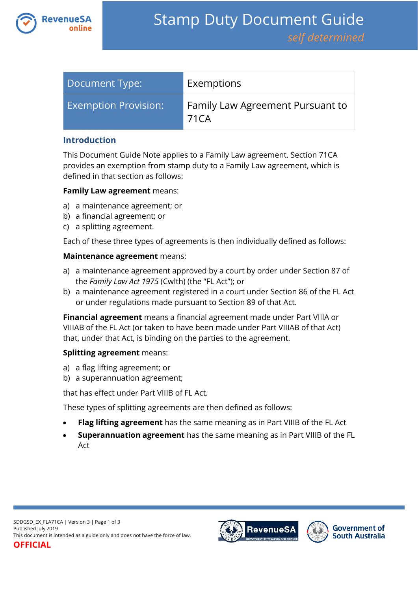

| Document Type:              | Exemptions                                |
|-----------------------------|-------------------------------------------|
| <b>Exemption Provision:</b> | Family Law Agreement Pursuant to<br>71 CA |

#### **Introduction**

This Document Guide Note applies to a Family Law agreement. Section 71CA provides an exemption from stamp duty to a Family Law agreement, which is defined in that section as follows:

#### **Family Law agreement** means:

- a) a maintenance agreement; or
- b) a financial agreement; or
- c) a splitting agreement.

Each of these three types of agreements is then individually defined as follows:

#### **Maintenance agreement** means:

- a) a maintenance agreement approved by a court by order under Section 87 of the *Family Law Act 1975* (Cwlth) (the "FL Act"); or
- b) a maintenance agreement registered in a court under Section 86 of the FL Act or under regulations made pursuant to Section 89 of that Act.

**Financial agreement** means a financial agreement made under Part VIIIA or VIIIAB of the FL Act (or taken to have been made under Part VIIIAB of that Act) that, under that Act, is binding on the parties to the agreement.

### **Splitting agreement** means:

- a) a flag lifting agreement; or
- b) a superannuation agreement;

that has effect under Part VIIIB of FL Act.

These types of splitting agreements are then defined as follows:

- **Flag lifting agreement** has the same meaning as in Part VIIIB of the FL Act
- **Superannuation agreement** has the same meaning as in Part VIIIB of the FL Act



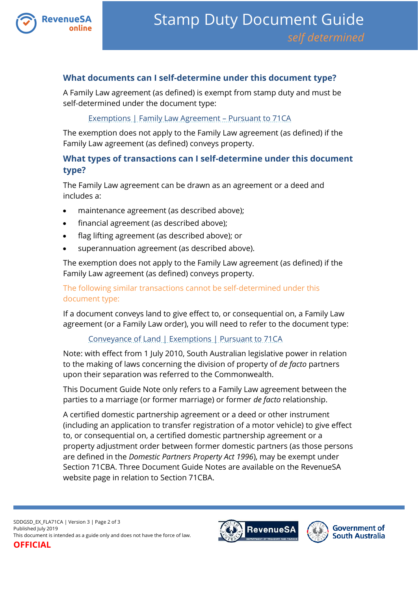

## **What documents can I self-determine under this document type?**

A Family Law agreement (as defined) is exempt from stamp duty and must be self-determined under the document type:

### Exemptions | Family Law Agreement – Pursuant to 71CA

The exemption does not apply to the Family Law agreement (as defined) if the Family Law agreement (as defined) conveys property.

# **What types of transactions can I self-determine under this document type?**

The Family Law agreement can be drawn as an agreement or a deed and includes a:

- maintenance agreement (as described above);
- financial agreement (as described above);
- flag lifting agreement (as described above); or
- superannuation agreement (as described above).

The exemption does not apply to the Family Law agreement (as defined) if the Family Law agreement (as defined) conveys property.

### The following similar transactions cannot be self-determined under this document type:

If a document conveys land to give effect to, or consequential on, a Family Law agreement (or a Family Law order), you will need to refer to the document type:

### [Conveyance of Land | Exemptions | Pursuant to 71CA](https://www.revenuesa.sa.gov.au/stampduty/stamp-duty-document-guide/self-determined/conveyance-of-land-exemptions/sddgsd_cl_ex_71ca)

Note: with effect from 1 July 2010, South Australian legislative power in relation to the making of laws concerning the division of property of *de facto* partners upon their separation was referred to the Commonwealth.

This Document Guide Note only refers to a Family Law agreement between the parties to a marriage (or former marriage) or former *de facto* relationship.

A certified domestic partnership agreement or a deed or other instrument (including an application to transfer registration of a motor vehicle) to give effect to, or consequential on, a certified domestic partnership agreement or a property adjustment order between former domestic partners (as those persons are defined in the *Domestic Partners Property Act 1996*), may be exempt under Section 71CBA. Three Document Guide Notes are available on the RevenueSA website page in relation to Section 71CBA.